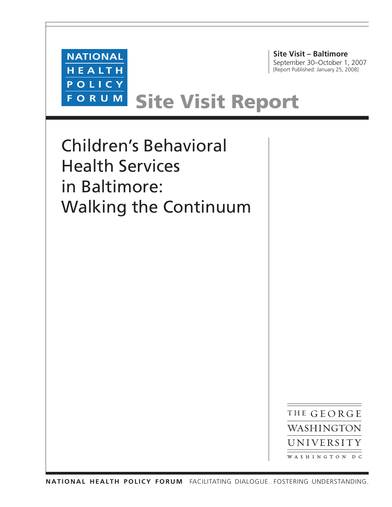

**Site Visit – Baltimore** September 30–October 1, 2007 [Report Published: January 25, 2008]

# Site Visit Report

Children's Behavioral Health Services in Baltimore: Walking the Continuum

> THE GEORGE WASHINGTON UNIVERSITY WASHINGTON DC

**national health policy forum** Facilitating dialogue. Fostering understanding.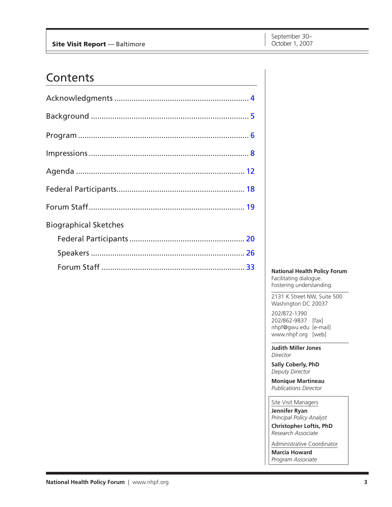### **Contents**

| <b>Biographical Sketches</b> |  |
|------------------------------|--|
|                              |  |
|                              |  |
|                              |  |

**National Health Policy Forum** Facilitating dialogue. Fostering understanding.

2131 K Street NW, Suite 500 Washington DC 20037

202/872-1390 202/862-9837 [fax] nhpf@gwu.edu [e-mail] www.nhpf.org [web]

**Judith Miller Jones** *Director*

**Sally Coberly, PhD** *Deputy Director*

**Monique Martineau** *Publications Director*

Site Visit Managers

**Jennifer Ryan** *Principal Policy Analyst*

**Christopher Loftis, PhD** *Research Associate*

Administrative Coordinator **Marcia Howard** *Program Associate*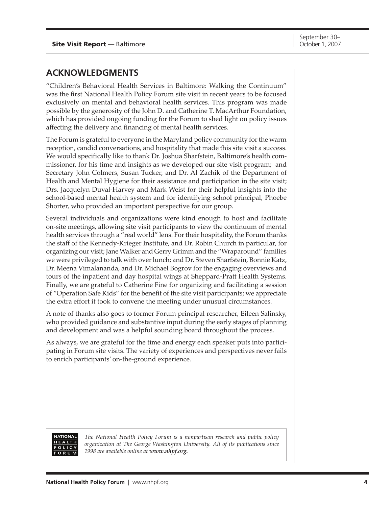### <span id="page-2-0"></span>**ACKNOWLEDGMENTS**

"Children's Behavioral Health Services in Baltimore: Walking the Continuum" was the first National Health Policy Forum site visit in recent years to be focused exclusively on mental and behavioral health services. This program was made possible by the generosity of the John D. and Catherine T. MacArthur Foundation, which has provided ongoing funding for the Forum to shed light on policy issues affecting the delivery and financing of mental health services.

The Forum is grateful to everyone in the Maryland policy community for the warm reception, candid conversations, and hospitality that made this site visit a success. We would specifically like to thank Dr. Joshua Sharfstein, Baltimore's health commissioner, for his time and insights as we developed our site visit program; and Secretary John Colmers, Susan Tucker, and Dr. Al Zachik of the Department of Health and Mental Hygiene for their assistance and participation in the site visit; Drs. Jacquelyn Duval-Harvey and Mark Weist for their helpful insights into the school-based mental health system and for identifying school principal, Phoebe Shorter, who provided an important perspective for our group.

Several individuals and organizations were kind enough to host and facilitate on-site meetings, allowing site visit participants to view the continuum of mental health services through a "real world" lens. For their hospitality, the Forum thanks the staff of the Kennedy-Krieger Institute, and Dr. Robin Church in particular, for organizing our visit; Jane Walker and Gerry Grimm and the "Wraparound" families we were privileged to talk with over lunch; and Dr. Steven Sharfstein, Bonnie Katz, Dr. Meena Vimalananda, and Dr. Michael Bogrov for the engaging overviews and tours of the inpatient and day hospital wings at Sheppard-Pratt Health Systems. Finally, we are grateful to Catherine Fine for organizing and facilitating a session of "Operation Safe Kids" for the benefit of the site visit participants; we appreciate the extra effort it took to convene the meeting under unusual circumstances.

A note of thanks also goes to former Forum principal researcher, Eileen Salinsky, who provided guidance and substantive input during the early stages of planning and development and was a helpful sounding board throughout the process.

As always, we are grateful for the time and energy each speaker puts into participating in Forum site visits. The variety of experiences and perspectives never fails to enrich participants' on-the-ground experience.



*The National Health Policy Forum is a nonpartisan research and public policy organization at The George Washington University. All of its publications since 1998 are available online at www.nhpf.org.*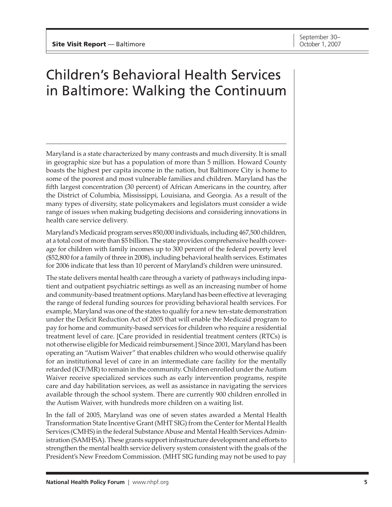# <span id="page-3-0"></span>Children's Behavioral Health Services in Baltimore: Walking the Continuum

Maryland is a state characterized by many contrasts and much diversity. It is small in geographic size but has a population of more than 5 million. Howard County boasts the highest per capita income in the nation, but Baltimore City is home to some of the poorest and most vulnerable families and children. Maryland has the fifth largest concentration (30 percent) of African Americans in the country, after the District of Columbia, Mississippi, Louisiana, and Georgia. As a result of the many types of diversity, state policymakers and legislators must consider a wide range of issues when making budgeting decisions and considering innovations in health care service delivery.

Maryland's Medicaid program serves 850,000 individuals, including 467,500 children, at a total cost of more than \$5 billion. The state provides comprehensive health coverage for children with family incomes up to 300 percent of the federal poverty level (\$52,800 for a family of three in 2008), including behavioral health services. Estimates for 2006 indicate that less than 10 percent of Maryland's children were uninsured.

The state delivers mental health care through a variety of pathways including inpatient and outpatient psychiatric settings as well as an increasing number of home and community-based treatment options. Maryland has been effective at leveraging the range of federal funding sources for providing behavioral health services. For example, Maryland was one of the states to qualify for a new ten-state demonstration under the Deficit Reduction Act of 2005 that will enable the Medicaid program to pay for home and community-based services for children who require a residential treatment level of care. [Care provided in residential treatment centers (RTCs) is not otherwise eligible for Medicaid reimbursement.] Since 2001, Maryland has been operating an "Autism Waiver" that enables children who would otherwise qualify for an institutional level of care in an intermediate care facility for the mentally retarded (ICF/MR) to remain in the community. Children enrolled under the Autism Waiver receive specialized services such as early intervention programs, respite care and day habilitation services, as well as assistance in navigating the services available through the school system. There are currently 900 children enrolled in the Autism Waiver, with hundreds more children on a waiting list.

In the fall of 2005, Maryland was one of seven states awarded a Mental Health Transformation State Incentive Grant (MHT SIG) from the Center for Mental Health Services (CMHS) in the federal Substance Abuse and Mental Health Services Administration (SAMHSA). These grants support infrastructure development and efforts to strengthen the mental health service delivery system consistent with the goals of the President's New Freedom Commission. (MHT SIG funding may not be used to pay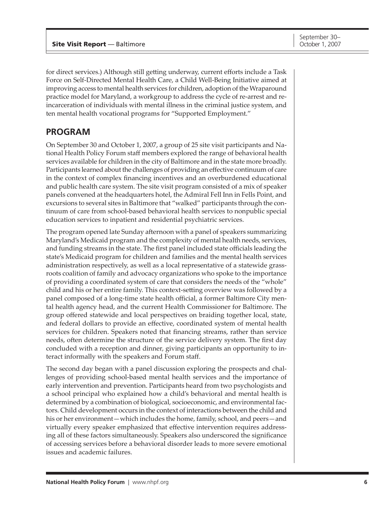<span id="page-4-0"></span>for direct services.) Although still getting underway, current efforts include a Task Force on Self-Directed Mental Health Care, a Child Well-Being Initiative aimed at improving access to mental health services for children, adoption of the Wraparound practice model for Maryland, a workgroup to address the cycle of re-arrest and reincarceration of individuals with mental illness in the criminal justice system, and ten mental health vocational programs for "Supported Employment."

### **PROGRAM**

On September 30 and October 1, 2007, a group of 25 site visit participants and National Health Policy Forum staff members explored the range of behavioral health services available for children in the city of Baltimore and in the state more broadly. Participants learned about the challenges of providing an effective continuum of care in the context of complex financing incentives and an overburdened educational and public health care system. The site visit program consisted of a mix of speaker panels convened at the headquarters hotel, the Admiral Fell Inn in Fells Point, and excursions to several sites in Baltimore that "walked" participants through the continuum of care from school-based behavioral health services to nonpublic special education services to inpatient and residential psychiatric services.

The program opened late Sunday afternoon with a panel of speakers summarizing Maryland's Medicaid program and the complexity of mental health needs, services, and funding streams in the state. The first panel included state officials leading the state's Medicaid program for children and families and the mental health services administration respectively, as well as a local representative of a statewide grassroots coalition of family and advocacy organizations who spoke to the importance of providing a coordinated system of care that considers the needs of the "whole" child and his or her entire family. This context-setting overview was followed by a panel composed of a long-time state health official, a former Baltimore City mental health agency head, and the current Health Commissioner for Baltimore. The group offered statewide and local perspectives on braiding together local, state, and federal dollars to provide an effective, coordinated system of mental health services for children. Speakers noted that financing streams, rather than service needs, often determine the structure of the service delivery system. The first day concluded with a reception and dinner, giving participants an opportunity to interact informally with the speakers and Forum staff.

The second day began with a panel discussion exploring the prospects and challenges of providing school-based mental health services and the importance of early intervention and prevention. Participants heard from two psychologists and a school principal who explained how a child's behavioral and mental health is determined by a combination of biological, socioeconomic, and environmental factors. Child development occurs in the context of interactions between the child and his or her environment—which includes the home, family, school, and peers—and virtually every speaker emphasized that effective intervention requires addressing all of these factors simultaneously. Speakers also underscored the significance of accessing services before a behavioral disorder leads to more severe emotional issues and academic failures.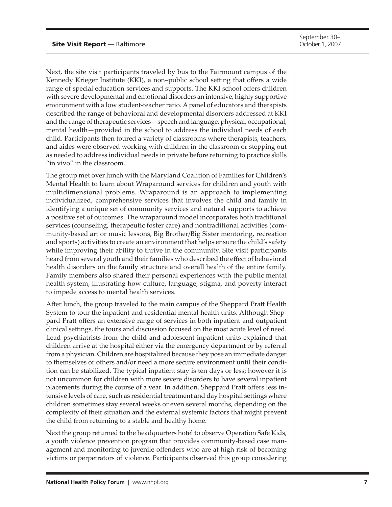Next, the site visit participants traveled by bus to the Fairmount campus of the Kennedy Krieger Institute (KKI), a non–public school setting that offers a wide range of special education services and supports. The KKI school offers children with severe developmental and emotional disorders an intensive, highly supportive environment with a low student-teacher ratio. A panel of educators and therapists described the range of behavioral and developmental disorders addressed at KKI and the range of therapeutic services—speech and language, physical, occupational, mental health—provided in the school to address the individual needs of each child. Participants then toured a variety of classrooms where therapists, teachers, and aides were observed working with children in the classroom or stepping out as needed to address individual needs in private before returning to practice skills "in vivo" in the classroom.

The group met over lunch with the Maryland Coalition of Families for Children's Mental Health to learn about Wraparound services for children and youth with multidimensional problems. Wraparound is an approach to implementing individualized, comprehensive services that involves the child and family in identifying a unique set of community services and natural supports to achieve a positive set of outcomes. The wraparound model incorporates both traditional services (counseling, therapeutic foster care) and nontraditional activities (community-based art or music lessons, Big Brother/Big Sister mentoring, recreation and sports) activities to create an environment that helps ensure the child's safety while improving their ability to thrive in the community. Site visit participants heard from several youth and their families who described the effect of behavioral health disorders on the family structure and overall health of the entire family. Family members also shared their personal experiences with the public mental health system, illustrating how culture, language, stigma, and poverty interact to impede access to mental health services.

After lunch, the group traveled to the main campus of the Sheppard Pratt Health System to tour the inpatient and residential mental health units. Although Sheppard Pratt offers an extensive range of services in both inpatient and outpatient clinical settings, the tours and discussion focused on the most acute level of need. Lead psychiatrists from the child and adolescent inpatient units explained that children arrive at the hospital either via the emergency department or by referral from a physician. Children are hospitalized because they pose an immediate danger to themselves or others and/or need a more secure environment until their condition can be stabilized. The typical inpatient stay is ten days or less; however it is not uncommon for children with more severe disorders to have several inpatient placements during the course of a year. In addition, Sheppard Pratt offers less intensive levels of care, such as residential treatment and day hospital settings where children sometimes stay several weeks or even several months, depending on the complexity of their situation and the external systemic factors that might prevent the child from returning to a stable and healthy home.

Next the group returned to the headquarters hotel to observe Operation Safe Kids, a youth violence prevention program that provides community-based case management and monitoring to juvenile offenders who are at high risk of becoming victims or perpetrators of violence. Participants observed this group considering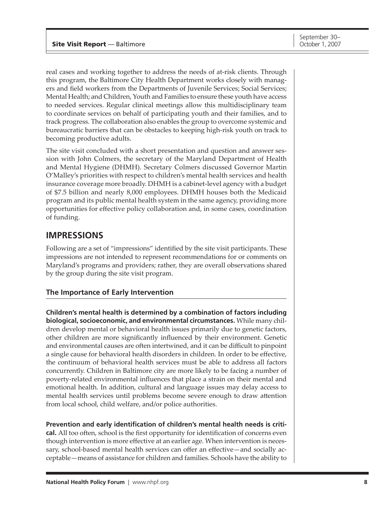<span id="page-6-0"></span>real cases and working together to address the needs of at-risk clients. Through this program, the Baltimore City Health Department works closely with managers and field workers from the Departments of Juvenile Services; Social Services; Mental Health; and Children, Youth and Families to ensure these youth have access to needed services. Regular clinical meetings allow this multidisciplinary team to coordinate services on behalf of participating youth and their families, and to track progress. The collaboration also enables the group to overcome systemic and bureaucratic barriers that can be obstacles to keeping high-risk youth on track to becoming productive adults.

The site visit concluded with a short presentation and question and answer session with John Colmers, the secretary of the Maryland Department of Health and Mental Hygiene (DHMH). Secretary Colmers discussed Governor Martin O'Malley's priorities with respect to children's mental health services and health insurance coverage more broadly. DHMH is a cabinet-level agency with a budget of \$7.5 billion and nearly 8,000 employees. DHMH houses both the Medicaid program and its public mental health system in the same agency, providing more opportunities for effective policy collaboration and, in some cases, coordination of funding.

### **IMPRESSIONS**

Following are a set of "impressions" identified by the site visit participants. These impressions are not intended to represent recommendations for or comments on Maryland's programs and providers; rather, they are overall observations shared by the group during the site visit program.

#### **The Importance of Early Intervention**

**Children's mental health is determined by a combination of factors including biological, socioeconomic, and environmental circumstances.** While many children develop mental or behavioral health issues primarily due to genetic factors, other children are more significantly influenced by their environment. Genetic and environmental causes are often intertwined, and it can be difficult to pinpoint a single cause for behavioral health disorders in children. In order to be effective, the continuum of behavioral health services must be able to address all factors concurrently. Children in Baltimore city are more likely to be facing a number of poverty-related environmental influences that place a strain on their mental and emotional health. In addition, cultural and language issues may delay access to mental health services until problems become severe enough to draw attention from local school, child welfare, and/or police authorities.

#### **Prevention and early identification of children's mental health needs is criti-**

**cal.** All too often, school is the first opportunity for identification of concerns even though intervention is more effective at an earlier age. When intervention is necessary, school-based mental health services can offer an effective—and socially acceptable—means of assistance for children and families. Schools have the ability to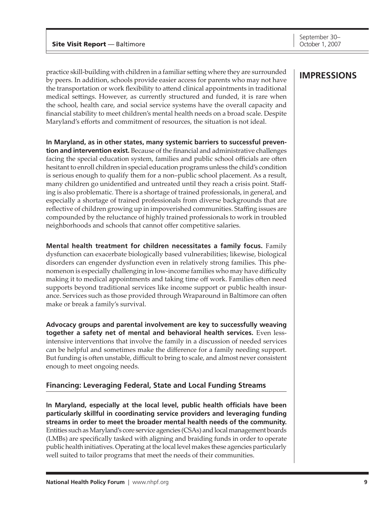practice skill-building with children in a familiar setting where they are surrounded by peers. In addition, schools provide easier access for parents who may not have the transportation or work flexibility to attend clinical appointments in traditional medical settings. However, as currently structured and funded, it is rare when the school, health care, and social service systems have the overall capacity and financial stability to meet children's mental health needs on a broad scale. Despite Maryland's efforts and commitment of resources, the situation is not ideal.

**In Maryland, as in other states, many systemic barriers to successful prevention and intervention exist.** Because of the financial and administrative challenges facing the special education system, families and public school officials are often hesitant to enroll children in special education programs unless the child's condition is serious enough to qualify them for a non–public school placement. As a result, many children go unidentified and untreated until they reach a crisis point. Staffing is also problematic. There is a shortage of trained professionals, in general, and especially a shortage of trained professionals from diverse backgrounds that are reflective of children growing up in impoverished communities. Staffing issues are compounded by the reluctance of highly trained professionals to work in troubled neighborhoods and schools that cannot offer competitive salaries.

**Mental health treatment for children necessitates a family focus.** Family dysfunction can exacerbate biologically based vulnerabilities; likewise, biological disorders can engender dysfunction even in relatively strong families. This phenomenon is especially challenging in low-income families who may have difficulty making it to medical appointments and taking time off work. Families often need supports beyond traditional services like income support or public health insurance. Services such as those provided through Wraparound in Baltimore can often make or break a family's survival.

**Advocacy groups and parental involvement are key to successfully weaving together a safety net of mental and behavioral health services.** Even lessintensive interventions that involve the family in a discussion of needed services can be helpful and sometimes make the difference for a family needing support. But funding is often unstable, difficult to bring to scale, and almost never consistent enough to meet ongoing needs.

#### **Financing: Leveraging Federal, State and Local Funding Streams**

**In Maryland, especially at the local level, public health officials have been particularly skillful in coordinating service providers and leveraging funding streams in order to meet the broader mental health needs of the community.**  Entities such as Maryland's core service agencies (CSAs) and local management boards (LMBs) are specifically tasked with aligning and braiding funds in order to operate public health initiatives. Operating at the local level makes these agencies particularly well suited to tailor programs that meet the needs of their communities.

### **IMPRESSIONS**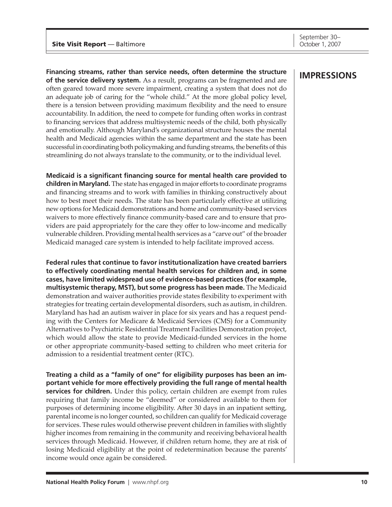September 30–

**Financing streams, rather than service needs, often determine the structure of the service delivery system.** As a result, programs can be fragmented and are often geared toward more severe impairment, creating a system that does not do an adequate job of caring for the "whole child." At the more global policy level, there is a tension between providing maximum flexibility and the need to ensure accountability. In addition, the need to compete for funding often works in contrast to financing services that address multisystemic needs of the child, both physically and emotionally. Although Maryland's organizational structure houses the mental health and Medicaid agencies within the same department and the state has been successful in coordinating both policymaking and funding streams, the benefits of this streamlining do not always translate to the community, or to the individual level.

**Medicaid is a significant financing source for mental health care provided to children in Maryland.** The state has engaged in major efforts to coordinate programs and financing streams and to work with families in thinking constructively about how to best meet their needs. The state has been particularly effective at utilizing new options for Medicaid demonstrations and home and community-based services waivers to more effectively finance community-based care and to ensure that providers are paid appropriately for the care they offer to low-income and medically vulnerable children. Providing mental health services as a "carve out" of the broader Medicaid managed care system is intended to help facilitate improved access.

**Federal rules that continue to favor institutionalization have created barriers to effectively coordinating mental health services for children and, in some cases, have limited widespread use of evidence-based practices (for example, multisystemic therapy, MST), but some progress has been made.** The Medicaid demonstration and waiver authorities provide states flexibility to experiment with strategies for treating certain developmental disorders, such as autism, in children. Maryland has had an autism waiver in place for six years and has a request pending with the Centers for Medicare & Medicaid Services (CMS) for a Community Alternatives to Psychiatric Residential Treatment Facilities Demonstration project, which would allow the state to provide Medicaid-funded services in the home or other appropriate community-based setting to children who meet criteria for admission to a residential treatment center (RTC).

**Treating a child as a "family of one" for eligibility purposes has been an important vehicle for more effectively providing the full range of mental health services for children.** Under this policy, certain children are exempt from rules requiring that family income be "deemed" or considered available to them for purposes of determining income eligibility. After 30 days in an inpatient setting, parental income is no longer counted, so children can qualify for Medicaid coverage for services. These rules would otherwise prevent children in families with slightly higher incomes from remaining in the community and receiving behavioral health services through Medicaid. However, if children return home, they are at risk of losing Medicaid eligibility at the point of redetermination because the parents' income would once again be considered.

### **IMPRESSIONS**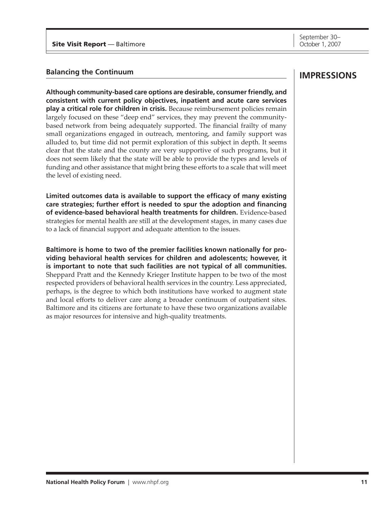#### **Balancing the Continuum**

**Although community-based care options are desirable, consumer friendly, and consistent with current policy objectives, inpatient and acute care services play a critical role for children in crisis.** Because reimbursement policies remain largely focused on these "deep end" services, they may prevent the communitybased network from being adequately supported. The financial frailty of many small organizations engaged in outreach, mentoring, and family support was alluded to, but time did not permit exploration of this subject in depth. It seems clear that the state and the county are very supportive of such programs, but it does not seem likely that the state will be able to provide the types and levels of funding and other assistance that might bring these efforts to a scale that will meet the level of existing need.

**Limited outcomes data is available to support the efficacy of many existing care strategies; further effort is needed to spur the adoption and financing of evidence-based behavioral health treatments for children.** Evidence-based strategies for mental health are still at the development stages, in many cases due to a lack of financial support and adequate attention to the issues.

**Baltimore is home to two of the premier facilities known nationally for providing behavioral health services for children and adolescents; however, it is important to note that such facilities are not typical of all communities.**  Sheppard Pratt and the Kennedy Krieger Institute happen to be two of the most respected providers of behavioral health services in the country. Less appreciated, perhaps, is the degree to which both institutions have worked to augment state and local efforts to deliver care along a broader continuum of outpatient sites. Baltimore and its citizens are fortunate to have these two organizations available as major resources for intensive and high-quality treatments.

### **IMPRESSIONS**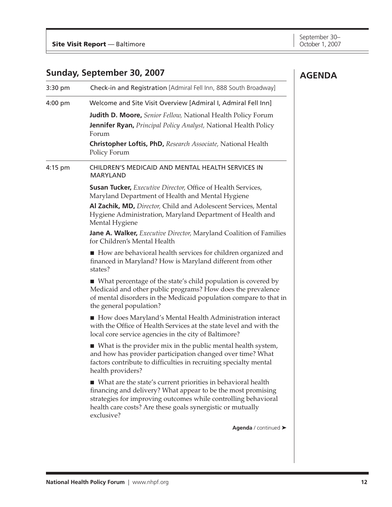### <span id="page-10-0"></span>**Sunday, September 30, 2007**

|           | Sunday, September 30, 2007                                                                                                                                                                                                                                                   | <b>AGENDA</b> |
|-----------|------------------------------------------------------------------------------------------------------------------------------------------------------------------------------------------------------------------------------------------------------------------------------|---------------|
| 3:30 pm   | Check-in and Registration [Admiral Fell Inn, 888 South Broadway]                                                                                                                                                                                                             |               |
| $4:00$ pm | Welcome and Site Visit Overview [Admiral I, Admiral Fell Inn]                                                                                                                                                                                                                |               |
|           | Judith D. Moore, Senior Fellow, National Health Policy Forum<br><b>Jennifer Ryan, Principal Policy Analyst, National Health Policy</b><br>Forum                                                                                                                              |               |
|           | Christopher Loftis, PhD, Research Associate, National Health<br>Policy Forum                                                                                                                                                                                                 |               |
| 4:15 pm   | CHILDREN'S MEDICAID AND MENTAL HEALTH SERVICES IN<br><b>MARYLAND</b>                                                                                                                                                                                                         |               |
|           | <b>Susan Tucker, Executive Director, Office of Health Services,</b><br>Maryland Department of Health and Mental Hygiene                                                                                                                                                      |               |
|           | Al Zachik, MD, Director, Child and Adolescent Services, Mental<br>Hygiene Administration, Maryland Department of Health and<br>Mental Hygiene                                                                                                                                |               |
|           | Jane A. Walker, Executive Director, Maryland Coalition of Families<br>for Children's Mental Health                                                                                                                                                                           |               |
|           | How are behavioral health services for children organized and<br>financed in Maryland? How is Maryland different from other<br>states?                                                                                                                                       |               |
|           | ■ What percentage of the state's child population is covered by<br>Medicaid and other public programs? How does the prevalence<br>of mental disorders in the Medicaid population compare to that in<br>the general population?                                               |               |
|           | How does Maryland's Mental Health Administration interact<br>with the Office of Health Services at the state level and with the<br>local core service agencies in the city of Baltimore?                                                                                     |               |
|           | $\blacksquare$ What is the provider mix in the public mental health system,<br>and how has provider participation changed over time? What<br>factors contribute to difficulties in recruiting specialty mental<br>health providers?                                          |               |
|           | ■ What are the state's current priorities in behavioral health<br>financing and delivery? What appear to be the most promising<br>strategies for improving outcomes while controlling behavioral<br>health care costs? Are these goals synergistic or mutually<br>exclusive? |               |
|           | Agenda / continued >                                                                                                                                                                                                                                                         |               |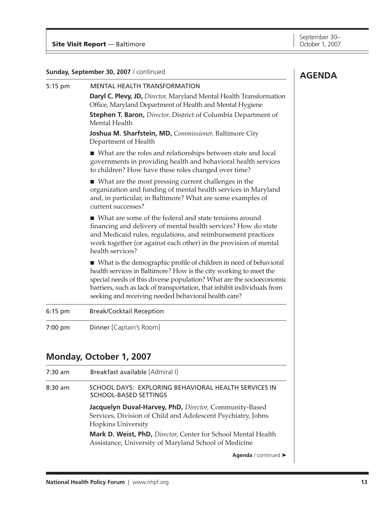#### **Sunday, September 30, 2007** / continued

| Sunday, September 30, 2007 / continued |                                                                                                                                                                                                                                                                                                                                                     | <b>AGENDA</b> |
|----------------------------------------|-----------------------------------------------------------------------------------------------------------------------------------------------------------------------------------------------------------------------------------------------------------------------------------------------------------------------------------------------------|---------------|
| 5:15 pm                                | <b>MENTAL HEALTH TRANSFORMATION</b>                                                                                                                                                                                                                                                                                                                 |               |
|                                        | Daryl C. Plevy, JD, Director, Maryland Mental Health Transformation<br>Office, Maryland Department of Health and Mental Hygiene                                                                                                                                                                                                                     |               |
|                                        | Stephen T. Baron, Director, District of Columbia Department of<br>Mental Health                                                                                                                                                                                                                                                                     |               |
|                                        | Joshua M. Sharfstein, MD, Commissioner, Baltimore City<br>Department of Health                                                                                                                                                                                                                                                                      |               |
|                                        | ■ What are the roles and relationships between state and local<br>governments in providing health and behavioral health services<br>to children? How have these roles changed over time?                                                                                                                                                            |               |
|                                        | ■ What are the most pressing current challenges in the<br>organization and funding of mental health services in Maryland<br>and, in particular, in Baltimore? What are some examples of<br>current successes?                                                                                                                                       |               |
|                                        | ■ What are some of the federal and state tensions around<br>financing and delivery of mental health services? How do state<br>and Medicaid rules, regulations, and reimbursement practices<br>work together (or against each other) in the provision of mental<br>health services?                                                                  |               |
|                                        | ■ What is the demographic profile of children in need of behavioral<br>health services in Baltimore? How is the city working to meet the<br>special needs of this diverse population? What are the socioeconomic<br>barriers, such as lack of transportation, that inhibit individuals from<br>seeking and receiving needed behavioral health care? |               |
| 6:15 pm                                | <b>Break/Cocktail Reception</b>                                                                                                                                                                                                                                                                                                                     |               |
| 7:00 pm                                | Dinner [Captain's Room]                                                                                                                                                                                                                                                                                                                             |               |
|                                        | <b>Monday, October 1, 2007</b>                                                                                                                                                                                                                                                                                                                      |               |
| 7:30 am                                | Breakfast available [Admiral I]                                                                                                                                                                                                                                                                                                                     |               |
| $8:30$ am                              | SCHOOL DAYS: EXPLORING BEHAVIORAL HEALTH SERVICES IN<br>SCHOOL-BASED SETTINGS                                                                                                                                                                                                                                                                       |               |
|                                        | Jacquelyn Duval-Harvey, PhD, Director, Community-Based<br>Services, Division of Child and Adolescent Psychiatry, Johns<br><b>Hopkins University</b>                                                                                                                                                                                                 |               |
|                                        |                                                                                                                                                                                                                                                                                                                                                     |               |

**Mark D. Weist, PhD,** *Director,* Center for School Mental Health Assistance, University of Maryland School of Medicine

**Agenda** / continued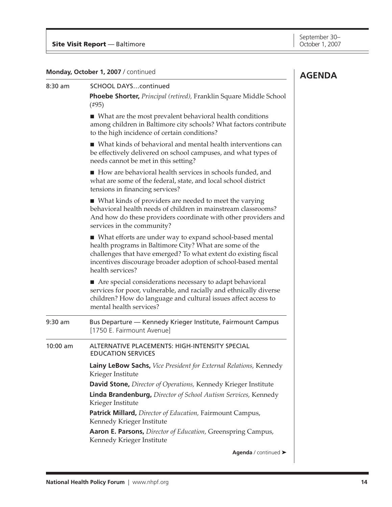**Monday, October 1, 2007** / continued

### 8:30 am SCHOOL DAYS…continued **Phoebe Shorter,** *Principal (retired),* Franklin Square Middle School (#95)

What are the most prevalent behavioral health conditions among children in Baltimore city schools? What factors contribute to the high incidence of certain conditions?

■ What kinds of behavioral and mental health interventions can be effectively delivered on school campuses, and what types of needs cannot be met in this setting?

How are behavioral health services in schools funded, and what are some of the federal, state, and local school district tensions in financing services?

■ What kinds of providers are needed to meet the varying behavioral health needs of children in mainstream classrooms? And how do these providers coordinate with other providers and services in the community?

What efforts are under way to expand school-based mental health programs in Baltimore City? What are some of the challenges that have emerged? To what extent do existing fiscal incentives discourage broader adoption of school-based mental health services?

■ Are special considerations necessary to adapt behavioral services for poor, vulnerable, and racially and ethnically diverse children? How do language and cultural issues affect access to mental health services?

9:30 am Bus Departure — Kennedy Krieger Institute, Fairmount Campus [1750 E. Fairmount Avenue] 10:00 am ALTERNATIVE PLACEMENTS: HIGH-INTENSITY SPECIAL EDUCATION SERVICES **Lainy LeBow Sachs,** *Vice President for External Relations,* Kennedy Krieger Institute **David Stone,** *Director of Operations,* Kennedy Krieger Institute **Linda Brandenburg,** *Director of School Autism Services,* Kennedy Krieger Institute **Patrick Millard,** *Director of Education,* Fairmount Campus, Kennedy Krieger Institute **Aaron E. Parsons,** *Director of Education,* Greenspring Campus, Kennedy Krieger Institute

**Agenda** / continued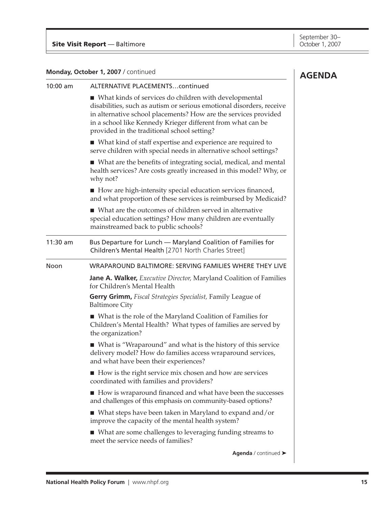#### **Monday, October 1, 2007** / continued

|          | Monday, October 1, 2007 / continued                                                                                                                                                                                                                                                                              | <b>AGENDA</b> |
|----------|------------------------------------------------------------------------------------------------------------------------------------------------------------------------------------------------------------------------------------------------------------------------------------------------------------------|---------------|
| 10:00 am | <b>ALTERNATIVE PLACEMENTScontinued</b>                                                                                                                                                                                                                                                                           |               |
|          | ■ What kinds of services do children with developmental<br>disabilities, such as autism or serious emotional disorders, receive<br>in alternative school placements? How are the services provided<br>in a school like Kennedy Krieger different from what can be<br>provided in the traditional school setting? |               |
|          | ■ What kind of staff expertise and experience are required to<br>serve children with special needs in alternative school settings?                                                                                                                                                                               |               |
|          | ■ What are the benefits of integrating social, medical, and mental<br>health services? Are costs greatly increased in this model? Why, or<br>why not?                                                                                                                                                            |               |
|          | ■ How are high-intensity special education services financed,<br>and what proportion of these services is reimbursed by Medicaid?                                                                                                                                                                                |               |
|          | ■ What are the outcomes of children served in alternative<br>special education settings? How many children are eventually<br>mainstreamed back to public schools?                                                                                                                                                |               |
| 11:30 am | Bus Departure for Lunch - Maryland Coalition of Families for<br>Children's Mental Health [2701 North Charles Street]                                                                                                                                                                                             |               |
| Noon     | WRAPAROUND BALTIMORE: SERVING FAMILIES WHERE THEY LIVE                                                                                                                                                                                                                                                           |               |
|          | <b>Jane A. Walker,</b> <i>Executive Director</i> , Maryland Coalition of Families<br>for Children's Mental Health                                                                                                                                                                                                |               |
|          | Gerry Grimm, Fiscal Strategies Specialist, Family League of<br><b>Baltimore City</b>                                                                                                                                                                                                                             |               |
|          | ■ What is the role of the Maryland Coalition of Families for<br>Children's Mental Health? What types of families are served by<br>the organization?                                                                                                                                                              |               |
|          | ■ What is "Wraparound" and what is the history of this service<br>delivery model? How do families access wraparound services,<br>and what have been their experiences?                                                                                                                                           |               |
|          | How is the right service mix chosen and how are services<br>coordinated with families and providers?                                                                                                                                                                                                             |               |
|          | ■ How is wraparound financed and what have been the successes<br>and challenges of this emphasis on community-based options?                                                                                                                                                                                     |               |
|          | $\blacksquare$ What steps have been taken in Maryland to expand and/or<br>improve the capacity of the mental health system?                                                                                                                                                                                      |               |
|          | ■ What are some challenges to leveraging funding streams to<br>meet the service needs of families?                                                                                                                                                                                                               |               |
|          | Agenda / continued >                                                                                                                                                                                                                                                                                             |               |
|          |                                                                                                                                                                                                                                                                                                                  |               |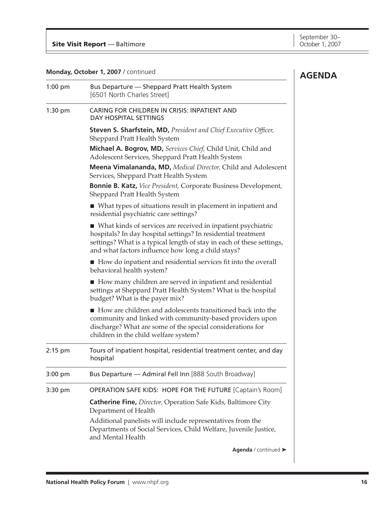#### **Monday, October 1, 2007** / continued

|           | Monday, October 1, 2007 / continued                                                                                                                                                                                                                            | <b>AGENDA</b> |
|-----------|----------------------------------------------------------------------------------------------------------------------------------------------------------------------------------------------------------------------------------------------------------------|---------------|
| 1:00 pm   | Bus Departure - Sheppard Pratt Health System<br>[6501 North Charles Street]                                                                                                                                                                                    |               |
| $1:30$ pm | CARING FOR CHILDREN IN CRISIS: INPATIENT AND<br><b>DAY HOSPITAL SETTINGS</b>                                                                                                                                                                                   |               |
|           | <b>Steven S. Sharfstein, MD, President and Chief Executive Officer,</b><br>Sheppard Pratt Health System                                                                                                                                                        |               |
|           | Michael A. Bogrov, MD, Services Chief, Child Unit, Child and<br>Adolescent Services, Sheppard Pratt Health System                                                                                                                                              |               |
|           | Meena Vimalananda, MD, Medical Director, Child and Adolescent<br>Services, Sheppard Pratt Health System                                                                                                                                                        |               |
|           | <b>Bonnie B. Katz, Vice President, Corporate Business Development,</b><br>Sheppard Pratt Health System                                                                                                                                                         |               |
|           | ■ What types of situations result in placement in inpatient and<br>residential psychiatric care settings?                                                                                                                                                      |               |
|           | ■ What kinds of services are received in inpatient psychiatric<br>hospitals? In day hospital settings? In residential treatment<br>settings? What is a typical length of stay in each of these settings,<br>and what factors influence how long a child stays? |               |
|           | ■ How do inpatient and residential services fit into the overall<br>behavioral health system?                                                                                                                                                                  |               |
|           | How many children are served in inpatient and residential<br>settings at Sheppard Pratt Health System? What is the hospital<br>budget? What is the payer mix?                                                                                                  |               |
|           | How are children and adolescents transitioned back into the<br>community and linked with community-based providers upon<br>discharge? What are some of the special considerations for<br>children in the child welfare system?                                 |               |
| $2:15$ pm | Tours of inpatient hospital, residential treatment center, and day<br>hospital                                                                                                                                                                                 |               |
| $3:00$ pm | Bus Departure - Admiral Fell Inn [888 South Broadway]                                                                                                                                                                                                          |               |
| 3:30 pm   | OPERATION SAFE KIDS: HOPE FOR THE FUTURE [Captain's Room]                                                                                                                                                                                                      |               |
|           | <b>Catherine Fine, Director, Operation Safe Kids, Baltimore City</b><br>Department of Health                                                                                                                                                                   |               |
|           | Additional panelists will include representatives from the<br>Departments of Social Services, Child Welfare, Juvenile Justice,<br>and Mental Health                                                                                                            |               |
|           | Agenda / continued >                                                                                                                                                                                                                                           |               |

 $\overline{\phantom{a}}$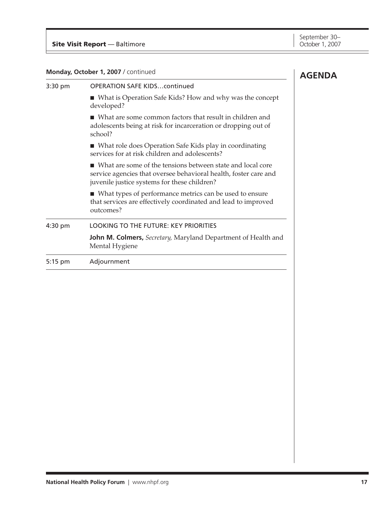| Monday, October 1, 2007 / continued |                                                                                                                                                                                | <b>AGENDA</b> |
|-------------------------------------|--------------------------------------------------------------------------------------------------------------------------------------------------------------------------------|---------------|
| 3:30 pm                             | <b>OPERATION SAFE KIDScontinued</b>                                                                                                                                            |               |
|                                     | ■ What is Operation Safe Kids? How and why was the concept<br>developed?                                                                                                       |               |
|                                     | $\blacksquare$ What are some common factors that result in children and<br>adolescents being at risk for incarceration or dropping out of<br>school?                           |               |
|                                     | ■ What role does Operation Safe Kids play in coordinating<br>services for at risk children and adolescents?                                                                    |               |
|                                     | What are some of the tensions between state and local core<br>service agencies that oversee behavioral health, foster care and<br>juvenile justice systems for these children? |               |
|                                     | • What types of performance metrics can be used to ensure<br>that services are effectively coordinated and lead to improved<br>outcomes?                                       |               |
| 4:30 pm                             | <b>LOOKING TO THE FUTURE: KEY PRIORITIES</b>                                                                                                                                   |               |
|                                     | John M. Colmers, Secretary, Maryland Department of Health and<br>Mental Hygiene                                                                                                |               |
| 5:15 pm                             | Adjournment                                                                                                                                                                    |               |
|                                     |                                                                                                                                                                                |               |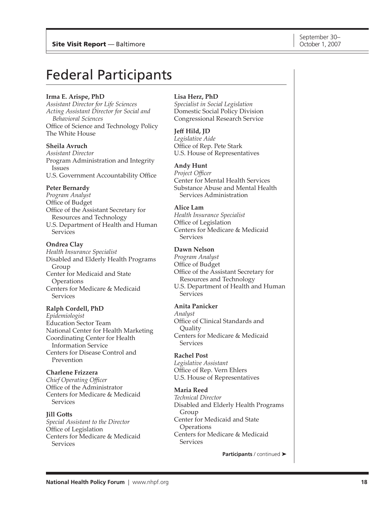# <span id="page-16-0"></span>Federal Participants

#### **Irma E. Arispe, PhD**

*Assistant Director for Life Sciences Acting Assistant Director for Social and Behavioral Sciences* Office of Science and Technology Policy The White House

#### **Sheila Avruch**

*Assistant Director* Program Administration and Integrity Issues U.S. Government Accountability Office

#### **Peter Bernardy**

*Program Analyst* Office of Budget Office of the Assistant Secretary for Resources and Technology U.S. Department of Health and Human **Services** 

#### **Ondrea Clay**

*Health Insurance Specialist* Disabled and Elderly Health Programs Group Center for Medicaid and State **Operations** Centers for Medicare & Medicaid **Services** 

#### **Ralph Cordell, PhD**

*Epidemiologist* Education Sector Team National Center for Health Marketing Coordinating Center for Health Information Service Centers for Disease Control and Prevention

#### **Charlene Frizzera**

*Chief Operating Officer*  Office of the Administrator Centers for Medicare & Medicaid Services

#### **Jill Gotts**

*Special Assistant to the Director* Office of Legislation Centers for Medicare & Medicaid **Services** 

#### **Lisa Herz, PhD**

*Specialist in Social Legislation* Domestic Social Policy Division Congressional Research Service

#### **Jeff Hild, JD**

*Legislative Aide* Office of Rep. Pete Stark U.S. House of Representatives

#### **Andy Hunt**

*Project Officer* Center for Mental Health Services Substance Abuse and Mental Health Services Administration

#### **Alice Lam**

*Health Insurance Specialist* Office of Legislation Centers for Medicare & Medicaid **Services** 

#### **Dawn Nelson**

*Program Analyst* Office of Budget Office of the Assistant Secretary for Resources and Technology U.S. Department of Health and Human **Services** 

#### **Anita Panicker**

*Analyst* Office of Clinical Standards and **Ouality** Centers for Medicare & Medicaid **Services** 

#### **Rachel Post**

*Legislative Assistant* Office of Rep. Vern Ehlers U.S. House of Representatives

#### **Maria Reed**

*Technical Director* Disabled and Elderly Health Programs Group Center for Medicaid and State **Operations** Centers for Medicare & Medicaid Services

**Participants** / continued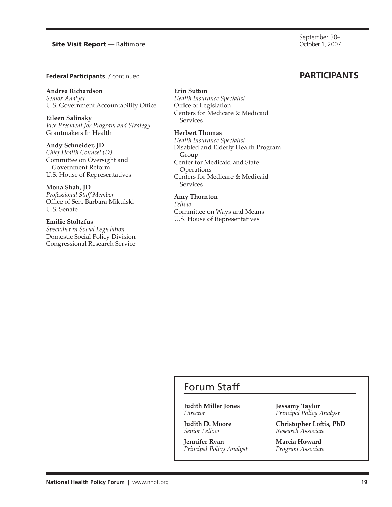#### <span id="page-17-0"></span>Site Visit Report — Baltimore **October 1, 2007** Number 1, 2007

#### **Federal Participants** / continued

#### **Andrea Richardson**

*Senior Analyst* U.S. Government Accountability Office

**Eileen Salinsky** *Vice President for Program and Strategy* Grantmakers In Health

**Andy Schneider, JD** *Chief Health Counsel (D)* Committee on Oversight and Government Reform U.S. House of Representatives

**Mona Shah, JD** *Professional Staff Member* Office of Sen. Barbara Mikulski U.S. Senate

**Emilie Stoltzfus** *Specialist in Social Legislation*

Domestic Social Policy Division Congressional Research Service

#### **Erin Sutton**

*Health Insurance Specialist* Office of Legislation Centers for Medicare & Medicaid **Services** 

**Herbert Thomas**

*Health Insurance Specialist* Disabled and Elderly Health Program Group Center for Medicaid and State **Operations** Centers for Medicare & Medicaid **Services** 

**Amy Thornton**

*Fellow*

Committee on Ways and Means U.S. House of Representatives

### **participants**

### Forum Staff

**Judith Miller Jones** *Director*

**Judith D. Moore** *Senior Fellow*

**Jennifer Ryan** *Principal Policy Analyst* **Jessamy Taylor** *Principal Policy Analyst*

**Christopher Loftis, PhD** *Research Associate*

**Marcia Howard** *Program Associate*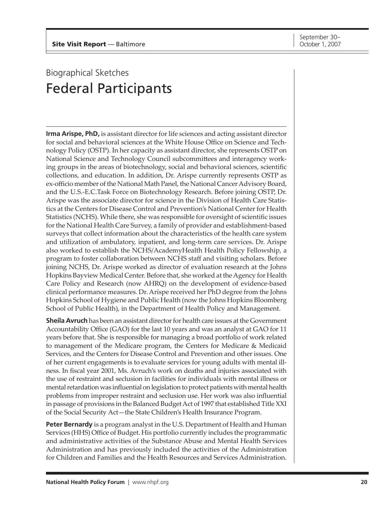# <span id="page-18-0"></span>Biographical Sketches Federal Participants

**Irma Arispe, PhD,** is assistant director for life sciences and acting assistant director for social and behavioral sciences at the White House Office on Science and Technology Policy (OSTP). In her capacity as assistant director, she represents OSTP on National Science and Technology Council subcommittees and interagency working groups in the areas of biotechnology, social and behavioral sciences, scientific collections, and education. In addition, Dr. Arispe currently represents OSTP as ex-officio member of the National Math Panel, the National Cancer Advisory Board, and the U.S.-E.C.Task Force on Biotechnology Research. Before joining OSTP, Dr. Arispe was the associate director for science in the Division of Health Care Statistics at the Centers for Disease Control and Prevention's National Center for Health Statistics (NCHS). While there, she was responsible for oversight of scientific issues for the National Health Care Survey, a family of provider and establishment-based surveys that collect information about the characteristics of the health care system and utilization of ambulatory, inpatient, and long-term care services. Dr. Arispe also worked to establish the NCHS/AcademyHealth Health Policy Fellowship, a program to foster collaboration between NCHS staff and visiting scholars. Before joining NCHS, Dr. Arispe worked as director of evaluation research at the Johns Hopkins Bayview Medical Center. Before that, she worked at the Agency for Health Care Policy and Research (now AHRQ) on the development of evidence-based clinical performance measures. Dr. Arispe received her PhD degree from the Johns Hopkins School of Hygiene and Public Health (now the Johns Hopkins Bloomberg School of Public Health), in the Department of Health Policy and Management.

**Sheila Avruch** has been an assistant director for health care issues at the Government Accountability Office (GAO) for the last 10 years and was an analyst at GAO for 11 years before that. She is responsible for managing a broad portfolio of work related to management of the Medicare program, the Centers for Medicare & Medicaid Services, and the Centers for Disease Control and Prevention and other issues. One of her current engagements is to evaluate services for young adults with mental illness. In fiscal year 2001, Ms. Avruch's work on deaths and injuries associated with the use of restraint and seclusion in facilities for individuals with mental illness or mental retardation was influential on legislation to protect patients with mental health problems from improper restraint and seclusion use. Her work was also influential in passage of provisions in the Balanced Budget Act of 1997 that established Title XXI of the Social Security Act—the State Children's Health Insurance Program.

**Peter Bernardy** is a program analyst in the U.S. Department of Health and Human Services (HHS) Office of Budget. His portfolio currently includes the programmatic and administrative activities of the Substance Abuse and Mental Health Services Administration and has previously included the activities of the Administration for Children and Families and the Health Resources and Services Administration.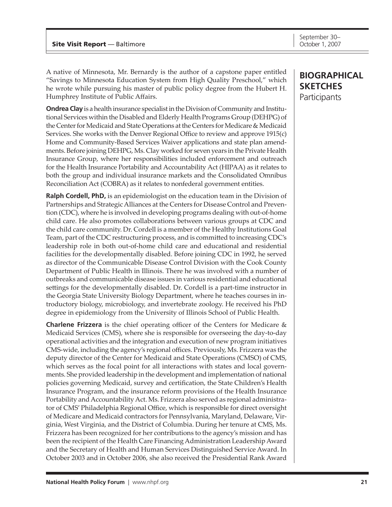A native of Minnesota, Mr. Bernardy is the author of a capstone paper entitled "Savings to Minnesota Education System from High Quality Preschool," which he wrote while pursuing his master of public policy degree from the Hubert H. Humphrey Institute of Public Affairs.

**Ondrea Clay** is a health insurance specialist in the Division of Community and Institutional Services within the Disabled and Elderly Health Programs Group (DEHPG) of the Center for Medicaid and State Operations at the Centers for Medicare & Medicaid Services. She works with the Denver Regional Office to review and approve 1915(c) Home and Community-Based Services Waiver applications and state plan amendments. Before joining DEHPG, Ms. Clay worked for seven years in the Private Health Insurance Group, where her responsibilities included enforcement and outreach for the Health Insurance Portability and Accountability Act (HIPAA) as it relates to both the group and individual insurance markets and the Consolidated Omnibus Reconciliation Act (COBRA) as it relates to nonfederal government entities.

**Ralph Cordell, PhD,** is an epidemiologist on the education team in the Division of Partnerships and Strategic Alliances at the Centers for Disease Control and Prevention (CDC), where he is involved in developing programs dealing with out-of-home child care. He also promotes collaborations between various groups at CDC and the child care community. Dr. Cordell is a member of the Healthy Institutions Goal Team, part of the CDC restructuring process, and is committed to increasing CDC's leadership role in both out-of-home child care and educational and residential facilities for the developmentally disabled. Before joining CDC in 1992, he served as director of the Communicable Disease Control Division with the Cook County Department of Public Health in Illinois. There he was involved with a number of outbreaks and communicable disease issues in various residential and educational settings for the developmentally disabled. Dr. Cordell is a part-time instructor in the Georgia State University Biology Department, where he teaches courses in introductory biology, microbiology, and invertebrate zoology. He received his PhD degree in epidemiology from the University of Illinois School of Public Health.

**Charlene Frizzera** is the chief operating officer of the Centers for Medicare & Medicaid Services (CMS), where she is responsible for overseeing the day-to-day operational activities and the integration and execution of new program initiatives CMS-wide, including the agency's regional offices. Previously, Ms. Frizzera was the deputy director of the Center for Medicaid and State Operations (CMSO) of CMS, which serves as the focal point for all interactions with states and local governments. She provided leadership in the development and implementation of national policies governing Medicaid, survey and certification, the State Children's Health Insurance Program, and the insurance reform provisions of the Health Insurance Portability and Accountability Act. Ms. Frizzera also served as regional administrator of CMS' Philadelphia Regional Office, which is responsible for direct oversight of Medicare and Medicaid contractors for Pennsylvania, Maryland, Delaware, Virginia, West Virginia, and the District of Columbia. During her tenure at CMS, Ms. Frizzera has been recognized for her contributions to the agency's mission and has been the recipient of the Health Care Financing Administration Leadership Award and the Secretary of Health and Human Services Distinguished Service Award. In October 2003 and in October 2006, she also received the Presidential Rank Award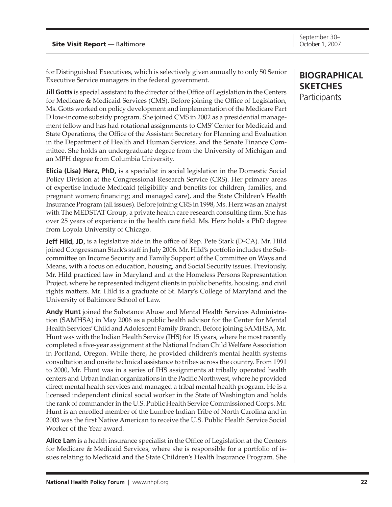for Distinguished Executives, which is selectively given annually to only 50 Senior Executive Service managers in the federal government.

**Jill Gotts** is special assistant to the director of the Office of Legislation in the Centers for Medicare & Medicaid Services (CMS). Before joining the Office of Legislation, Ms. Gotts worked on policy development and implementation of the Medicare Part D low-income subsidy program. She joined CMS in 2002 as a presidential management fellow and has had rotational assignments to CMS' Center for Medicaid and State Operations, the Office of the Assistant Secretary for Planning and Evaluation in the Department of Health and Human Services, and the Senate Finance Committee. She holds an undergraduate degree from the University of Michigan and an MPH degree from Columbia University.

**Elicia (Lisa) Herz, PhD,** is a specialist in social legislation in the Domestic Social Policy Division at the Congressional Research Service (CRS). Her primary areas of expertise include Medicaid (eligibility and benefits for children, families, and pregnant women; financing; and managed care), and the State Children's Health Insurance Program (all issues). Before joining CRS in 1998, Ms. Herz was an analyst with The MEDSTAT Group, a private health care research consulting firm. She has over 25 years of experience in the health care field. Ms. Herz holds a PhD degree from Loyola University of Chicago.

**Jeff Hild, JD,** is a legislative aide in the office of Rep. Pete Stark (D-CA). Mr. Hild joined Congressman Stark's staff in July 2006. Mr. Hild's portfolio includes the Subcommittee on Income Security and Family Support of the Committee on Ways and Means, with a focus on education, housing, and Social Security issues. Previously, Mr. Hild practiced law in Maryland and at the Homeless Persons Representation Project, where he represented indigent clients in public benefits, housing, and civil rights matters. Mr. Hild is a graduate of St. Mary's College of Maryland and the University of Baltimore School of Law.

**Andy Hunt** joined the Substance Abuse and Mental Health Services Administration (SAMHSA) in May 2006 as a public health advisor for the Center for Mental Health Services' Child and Adolescent Family Branch. Before joining SAMHSA, Mr. Hunt was with the Indian Health Service (IHS) for 15 years, where he most recently completed a five-year assignment at the National Indian Child Welfare Association in Portland, Oregon. While there, he provided children's mental health systems consultation and onsite technical assistance to tribes across the country. From 1991 to 2000, Mr. Hunt was in a series of IHS assignments at tribally operated health centers and Urban Indian organizations in the Pacific Northwest, where he provided direct mental health services and managed a tribal mental health program. He is a licensed independent clinical social worker in the State of Washington and holds the rank of commander in the U.S. Public Health Service Commissioned Corps. Mr. Hunt is an enrolled member of the Lumbee Indian Tribe of North Carolina and in 2003 was the first Native American to receive the U.S. Public Health Service Social Worker of the Year award.

**Alice Lam** is a health insurance specialist in the Office of Legislation at the Centers for Medicare & Medicaid Services, where she is responsible for a portfolio of issues relating to Medicaid and the State Children's Health Insurance Program. She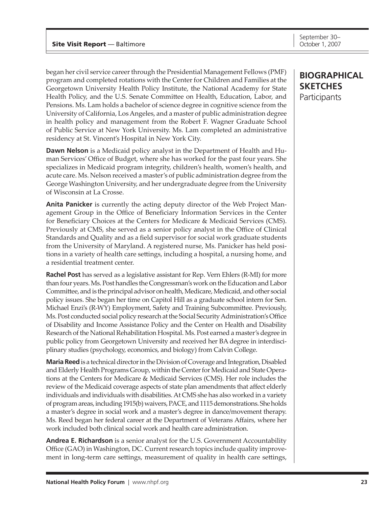began her civil service career through the Presidential Management Fellows (PMF) program and completed rotations with the Center for Children and Families at the Georgetown University Health Policy Institute, the National Academy for State Health Policy, and the U.S. Senate Committee on Health, Education, Labor, and Pensions. Ms. Lam holds a bachelor of science degree in cognitive science from the University of California, Los Angeles, and a master of public administration degree in health policy and management from the Robert F. Wagner Graduate School of Public Service at New York University. Ms. Lam completed an administrative residency at St. Vincent's Hospital in New York City.

**Dawn Nelson** is a Medicaid policy analyst in the Department of Health and Human Services' Office of Budget, where she has worked for the past four years. She specializes in Medicaid program integrity, children's health, women's health, and acute care. Ms. Nelson received a master's of public administration degree from the George Washington University, and her undergraduate degree from the University of Wisconsin at La Crosse.

**Anita Panicker** is currently the acting deputy director of the Web Project Management Group in the Office of Beneficiary Information Services in the Center for Beneficiary Choices at the Centers for Medicare & Medicaid Services (CMS). Previously at CMS, she served as a senior policy analyst in the Office of Clinical Standards and Quality and as a field supervisor for social work graduate students from the University of Maryland. A registered nurse, Ms. Panicker has held positions in a variety of health care settings, including a hospital, a nursing home, and a residential treatment center.

**Rachel Post** has served as a legislative assistant for Rep. Vern Ehlers (R-MI) for more than four years. Ms. Post handles the Congressman's work on the Education and Labor Committee, and is the principal advisor on health, Medicare, Medicaid, and other social policy issues. She began her time on Capitol Hill as a graduate school intern for Sen. Michael Enzi's (R-WY) Employment, Safety and Training Subcommittee. Previously, Ms. Post conducted social policy research at the Social Security Administration's Office of Disability and Income Assistance Policy and the Center on Health and Disability Research of the National Rehabilitation Hospital. Ms. Post earned a master's degree in public policy from Georgetown University and received her BA degree in interdisciplinary studies (psychology, economics, and biology) from Calvin College.

**Maria Reed** is a technical director in the Division of Coverage and Integration, Disabled and Elderly Health Programs Group, within the Center for Medicaid and State Operations at the Centers for Medicare & Medicaid Services (CMS). Her role includes the review of the Medicaid coverage aspects of state plan amendments that affect elderly individuals and individuals with disabilities. At CMS she has also worked in a variety of program areas, including 1915(b) waivers, PACE, and 1115 demonstrations. She holds a master's degree in social work and a master's degree in dance/movement therapy. Ms. Reed began her federal career at the Department of Veterans Affairs, where her work included both clinical social work and health care administration.

**Andrea E. Richardson** is a senior analyst for the U.S. Government Accountability Office (GAO) in Washington, DC. Current research topics include quality improvement in long-term care settings, measurement of quality in health care settings,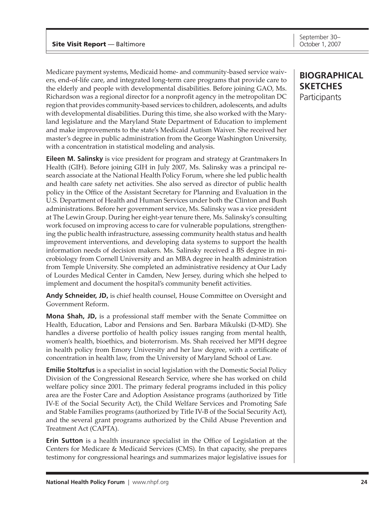Medicare payment systems, Medicaid home- and community-based service waivers, end-of-life care, and integrated long-term care programs that provide care to the elderly and people with developmental disabilities. Before joining GAO, Ms. Richardson was a regional director for a nonprofit agency in the metropolitan DC region that provides community-based services to children, adolescents, and adults with developmental disabilities. During this time, she also worked with the Maryland legislature and the Maryland State Department of Education to implement and make improvements to the state's Medicaid Autism Waiver. She received her master's degree in public administration from the George Washington University, with a concentration in statistical modeling and analysis.

**Eileen M. Salinsky** is vice president for program and strategy at Grantmakers In Health (GIH). Before joining GIH in July 2007, Ms. Salinsky was a principal research associate at the National Health Policy Forum, where she led public health and health care safety net activities. She also served as director of public health policy in the Office of the Assistant Secretary for Planning and Evaluation in the U.S. Department of Health and Human Services under both the Clinton and Bush administrations. Before her government service, Ms. Salinsky was a vice president at The Lewin Group. During her eight-year tenure there, Ms. Salinsky's consulting work focused on improving access to care for vulnerable populations, strengthening the public health infrastructure, assessing community health status and health improvement interventions, and developing data systems to support the health information needs of decision makers. Ms. Salinsky received a BS degree in microbiology from Cornell University and an MBA degree in health administration from Temple University. She completed an administrative residency at Our Lady of Lourdes Medical Center in Camden, New Jersey, during which she helped to implement and document the hospital's community benefit activities.

**Andy Schneider, JD,** is chief health counsel, House Committee on Oversight and Government Reform.

**Mona Shah, JD,** is a professional staff member with the Senate Committee on Health, Education, Labor and Pensions and Sen. Barbara Mikulski (D-MD). She handles a diverse portfolio of health policy issues ranging from mental health, women's health, bioethics, and bioterrorism. Ms. Shah received her MPH degree in health policy from Emory University and her law degree, with a certificate of concentration in health law, from the University of Maryland School of Law.

**Emilie Stoltzfus** is a specialist in social legislation with the Domestic Social Policy Division of the Congressional Research Service, where she has worked on child welfare policy since 2001. The primary federal programs included in this policy area are the Foster Care and Adoption Assistance programs (authorized by Title IV-E of the Social Security Act), the Child Welfare Services and Promoting Safe and Stable Families programs (authorized by Title IV-B of the Social Security Act), and the several grant programs authorized by the Child Abuse Prevention and Treatment Act (CAPTA).

**Erin Sutton** is a health insurance specialist in the Office of Legislation at the Centers for Medicare & Medicaid Services (CMS). In that capacity, she prepares testimony for congressional hearings and summarizes major legislative issues for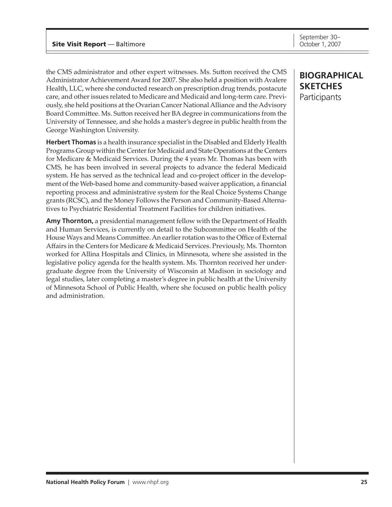the CMS administrator and other expert witnesses. Ms. Sutton received the CMS Administrator Achievement Award for 2007. She also held a position with Avalere Health, LLC, where she conducted research on prescription drug trends, postacute care, and other issues related to Medicare and Medicaid and long-term care. Previously, she held positions at the Ovarian Cancer National Alliance and the Advisory Board Committee. Ms. Sutton received her BA degree in communications from the University of Tennessee, and she holds a master's degree in public health from the George Washington University.

**Herbert Thomas** is a health insurance specialist in the Disabled and Elderly Health Programs Group within the Center for Medicaid and State Operations at the Centers for Medicare & Medicaid Services. During the 4 years Mr. Thomas has been with CMS, he has been involved in several projects to advance the federal Medicaid system. He has served as the technical lead and co-project officer in the development of the Web-based home and community-based waiver application, a financial reporting process and administrative system for the Real Choice Systems Change grants (RCSC), and the Money Follows the Person and Community-Based Alternatives to Psychiatric Residential Treatment Facilities for children initiatives.

**Amy Thornton,** a presidential management fellow with the Department of Health and Human Services, is currently on detail to the Subcommittee on Health of the House Ways and Means Committee. An earlier rotation was to the Office of External Affairs in the Centers for Medicare & Medicaid Services. Previously, Ms. Thornton worked for Allina Hospitals and Clinics, in Minnesota, where she assisted in the legislative policy agenda for the health system. Ms. Thornton received her undergraduate degree from the University of Wisconsin at Madison in sociology and legal studies, later completing a master's degree in public health at the University of Minnesota School of Public Health, where she focused on public health policy and administration.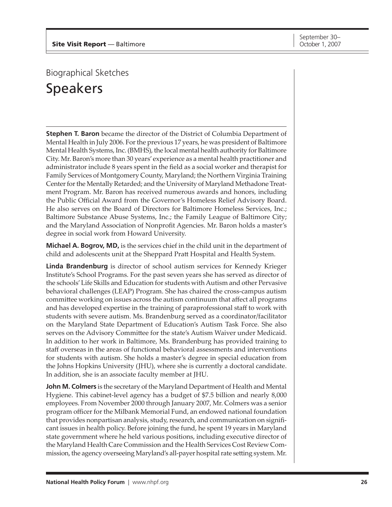<span id="page-24-0"></span>Biographical Sketches

Speakers

**Stephen T. Baron** became the director of the District of Columbia Department of Mental Health in July 2006. For the previous 17 years, he was president of Baltimore Mental Health Systems, Inc. (BMHS), the local mental health authority for Baltimore City. Mr. Baron's more than 30 years' experience as a mental health practitioner and administrator include 8 years spent in the field as a social worker and therapist for Family Services of Montgomery County, Maryland; the Northern Virginia Training Center for the Mentally Retarded; and the University of Maryland Methadone Treatment Program. Mr. Baron has received numerous awards and honors, including the Public Official Award from the Governor's Homeless Relief Advisory Board. He also serves on the Board of Directors for Baltimore Homeless Services, Inc.; Baltimore Substance Abuse Systems, Inc.; the Family League of Baltimore City; and the Maryland Association of Nonprofit Agencies. Mr. Baron holds a master's degree in social work from Howard University.

**Michael A. Bogrov, MD,** is the services chief in the child unit in the department of child and adolescents unit at the Sheppard Pratt Hospital and Health System.

**Linda Brandenburg** is director of school autism services for Kennedy Krieger Institute's School Programs. For the past seven years she has served as director of the schools' Life Skills and Education for students with Autism and other Pervasive behavioral challenges (LEAP) Program. She has chaired the cross-campus autism committee working on issues across the autism continuum that affect all programs and has developed expertise in the training of paraprofessional staff to work with students with severe autism. Ms. Brandenburg served as a coordinator/facilitator on the Maryland State Department of Education's Autism Task Force. She also serves on the Advisory Committee for the state's Autism Waiver under Medicaid. In addition to her work in Baltimore, Ms. Brandenburg has provided training to staff overseas in the areas of functional behavioral assessments and interventions for students with autism. She holds a master's degree in special education from the Johns Hopkins University (JHU), where she is currently a doctoral candidate. In addition, she is an associate faculty member at JHU.

**John M. Colmers** is the secretary of the Maryland Department of Health and Mental Hygiene. This cabinet-level agency has a budget of \$7.5 billion and nearly 8,000 employees. From November 2000 through January 2007, Mr. Colmers was a senior program officer for the Milbank Memorial Fund, an endowed national foundation that provides nonpartisan analysis, study, research, and communication on significant issues in health policy. Before joining the fund, he spent 19 years in Maryland state government where he held various positions, including executive director of the Maryland Health Care Commission and the Health Services Cost Review Commission, the agency overseeing Maryland's all-payer hospital rate setting system. Mr.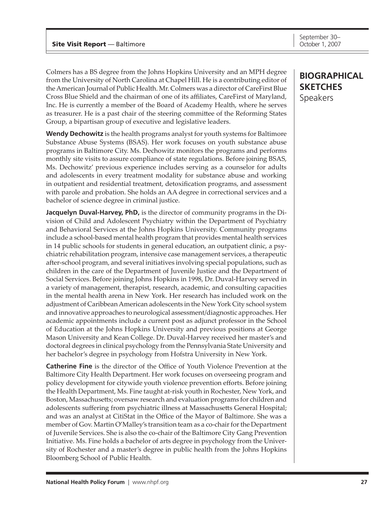Colmers has a BS degree from the Johns Hopkins University and an MPH degree from the University of North Carolina at Chapel Hill. He is a contributing editor of the American Journal of Public Health. Mr. Colmers was a director of CareFirst Blue Cross Blue Shield and the chairman of one of its affiliates, CareFirst of Maryland, Inc. He is currently a member of the Board of Academy Health, where he serves as treasurer. He is a past chair of the steering committee of the Reforming States Group, a bipartisan group of executive and legislative leaders.

**Wendy Dechowitz** is the health programs analyst for youth systems for Baltimore Substance Abuse Systems (BSAS). Her work focuses on youth substance abuse programs in Baltimore City. Ms. Dechowitz monitors the programs and performs monthly site visits to assure compliance of state regulations. Before joining BSAS, Ms. Dechowitz' previous experience includes serving as a counselor for adults and adolescents in every treatment modality for substance abuse and working in outpatient and residential treatment, detoxification programs, and assessment with parole and probation. She holds an AA degree in correctional services and a bachelor of science degree in criminal justice.

**Jacquelyn Duval-Harvey, PhD,** is the director of community programs in the Division of Child and Adolescent Psychiatry within the Department of Psychiatry and Behavioral Services at the Johns Hopkins University. Community programs include a school-based mental health program that provides mental health services in 14 public schools for students in general education, an outpatient clinic, a psychiatric rehabilitation program, intensive case management services, a therapeutic after-school program, and several initiatives involving special populations, such as children in the care of the Department of Juvenile Justice and the Department of Social Services. Before joining Johns Hopkins in 1998, Dr. Duval-Harvey served in a variety of management, therapist, research, academic, and consulting capacities in the mental health arena in New York. Her research has included work on the adjustment of Caribbean American adolescents in the New York City school system and innovative approaches to neurological assessment/diagnostic approaches. Her academic appointments include a current post as adjunct professor in the School of Education at the Johns Hopkins University and previous positions at George Mason University and Kean College. Dr. Duval-Harvey received her master's and doctoral degrees in clinical psychology from the Pennsylvania State University and her bachelor's degree in psychology from Hofstra University in New York.

**Catherine Fine** is the director of the Office of Youth Violence Prevention at the Baltimore City Health Department. Her work focuses on overseeing program and policy development for citywide youth violence prevention efforts. Before joining the Health Department, Ms. Fine taught at-risk youth in Rochester, New York, and Boston, Massachusetts; oversaw research and evaluation programs for children and adolescents suffering from psychiatric illness at Massachusetts General Hospital; and was an analyst at CitiStat in the Office of the Mayor of Baltimore. She was a member of Gov. Martin O'Malley's transition team as a co-chair for the Department of Juvenile Services. She is also the co-chair of the Baltimore City Gang Prevention Initiative. Ms. Fine holds a bachelor of arts degree in psychology from the University of Rochester and a master's degree in public health from the Johns Hopkins Bloomberg School of Public Health.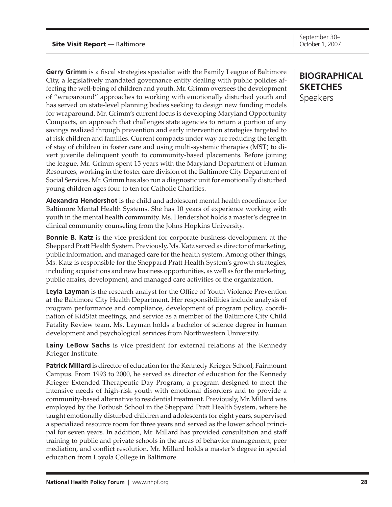**Gerry Grimm** is a fiscal strategies specialist with the Family League of Baltimore City, a legislatively mandated governance entity dealing with public policies affecting the well-being of children and youth. Mr. Grimm oversees the development of "wraparound" approaches to working with emotionally disturbed youth and has served on state-level planning bodies seeking to design new funding models for wraparound. Mr. Grimm's current focus is developing Maryland Opportunity Compacts, an approach that challenges state agencies to return a portion of any savings realized through prevention and early intervention strategies targeted to at risk children and families. Current compacts under way are reducing the length of stay of children in foster care and using multi-systemic therapies (MST) to divert juvenile delinquent youth to community-based placements. Before joining the league, Mr. Grimm spent 15 years with the Maryland Department of Human Resources, working in the foster care division of the Baltimore City Department of Social Services. Mr. Grimm has also run a diagnostic unit for emotionally disturbed young children ages four to ten for Catholic Charities.

**Alexandra Hendershot** is the child and adolescent mental health coordinator for Baltimore Mental Health Systems. She has 10 years of experience working with youth in the mental health community. Ms. Hendershot holds a master's degree in clinical community counseling from the Johns Hopkins University.

**Bonnie B. Katz** is the vice president for corporate business development at the Sheppard Pratt Health System. Previously, Ms. Katz served as director of marketing, public information, and managed care for the health system. Among other things, Ms. Katz is responsible for the Sheppard Pratt Health System's growth strategies, including acquisitions and new business opportunities, as well as for the marketing, public affairs, development, and managed care activities of the organization.

**Leyla Layman** is the research analyst for the Office of Youth Violence Prevention at the Baltimore City Health Department. Her responsibilities include analysis of program performance and compliance, development of program policy, coordination of KidStat meetings, and service as a member of the Baltimore City Child Fatality Review team. Ms. Layman holds a bachelor of science degree in human development and psychological services from Northwestern University.

**Lainy LeBow Sachs** is vice president for external relations at the Kennedy Krieger Institute.

**Patrick Millard** is director of education for the Kennedy Krieger School, Fairmount Campus. From 1993 to 2000, he served as director of education for the Kennedy Krieger Extended Therapeutic Day Program, a program designed to meet the intensive needs of high-risk youth with emotional disorders and to provide a community-based alternative to residential treatment. Previously, Mr. Millard was employed by the Forbush School in the Sheppard Pratt Health System, where he taught emotionally disturbed children and adolescents for eight years, supervised a specialized resource room for three years and served as the lower school principal for seven years. In addition, Mr. Millard has provided consultation and staff training to public and private schools in the areas of behavior management, peer mediation, and conflict resolution. Mr. Millard holds a master's degree in special education from Loyola College in Baltimore.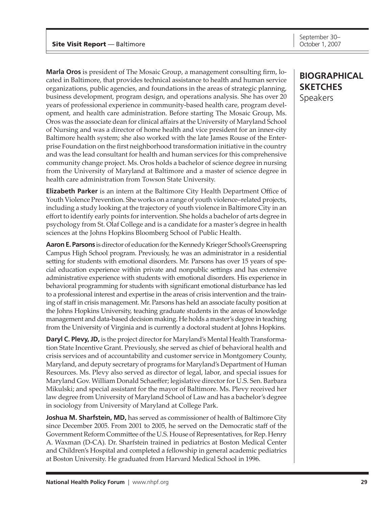**Marla Oros** is president of The Mosaic Group, a management consulting firm, located in Baltimore, that provides technical assistance to health and human service organizations, public agencies, and foundations in the areas of strategic planning, business development, program design, and operations analysis. She has over 20 years of professional experience in community-based health care, program development, and health care administration. Before starting The Mosaic Group, Ms. Oros was the associate dean for clinical affairs at the University of Maryland School of Nursing and was a director of home health and vice president for an inner-city Baltimore health system; she also worked with the late James Rouse of the Enterprise Foundation on the first neighborhood transformation initiative in the country and was the lead consultant for health and human services for this comprehensive community change project. Ms. Oros holds a bachelor of science degree in nursing from the University of Maryland at Baltimore and a master of science degree in health care administration from Towson State University.

**Elizabeth Parker** is an intern at the Baltimore City Health Department Office of Youth Violence Prevention. She works on a range of youth violence–related projects, including a study looking at the trajectory of youth violence in Baltimore City in an effort to identify early points for intervention. She holds a bachelor of arts degree in psychology from St. Olaf College and is a candidate for a master's degree in health sciences at the Johns Hopkins Bloomberg School of Public Health.

**Aaron E. Parsons** is director of education for the Kennedy Krieger School's Greenspring Campus High School program. Previously, he was an administrator in a residential setting for students with emotional disorders. Mr. Parsons has over 15 years of special education experience within private and nonpublic settings and has extensive administrative experience with students with emotional disorders. His experience in behavioral programming for students with significant emotional disturbance has led to a professional interest and expertise in the areas of crisis intervention and the training of staff in crisis management. Mr. Parsons has held an associate faculty position at the Johns Hopkins University, teaching graduate students in the areas of knowledge management and data-based decision making. He holds a master's degree in teaching from the University of Virginia and is currently a doctoral student at Johns Hopkins.

**Daryl C. Plevy, JD,** is the project director for Maryland's Mental Health Transformation State Incentive Grant. Previously, she served as chief of behavioral health and crisis services and of accountability and customer service in Montgomery County, Maryland, and deputy secretary of programs for Maryland's Department of Human Resources. Ms. Plevy also served as director of legal, labor, and special issues for Maryland Gov. William Donald Schaeffer; legislative director for U.S. Sen. Barbara Mikulski; and special assistant for the mayor of Baltimore. Ms. Plevy received her law degree from University of Maryland School of Law and has a bachelor's degree in sociology from University of Maryland at College Park.

**Joshua M. Sharfstein, MD,** has served as commissioner of health of Baltimore City since December 2005. From 2001 to 2005, he served on the Democratic staff of the Government Reform Committee of the U.S. House of Representatives, for Rep. Henry A. Waxman (D-CA). Dr. Sharfstein trained in pediatrics at Boston Medical Center and Children's Hospital and completed a fellowship in general academic pediatrics at Boston University. He graduated from Harvard Medical School in 1996.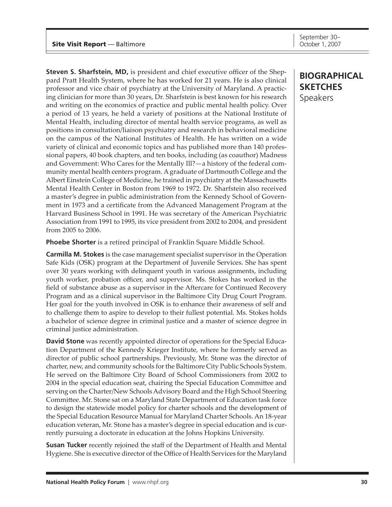**Steven S. Sharfstein, MD,** is president and chief executive officer of the Sheppard Pratt Health System, where he has worked for 21 years. He is also clinical professor and vice chair of psychiatry at the University of Maryland. A practicing clinician for more than 30 years, Dr. Sharfstein is best known for his research and writing on the economics of practice and public mental health policy. Over a period of 13 years, he held a variety of positions at the National Institute of Mental Health, including director of mental health service programs, as well as positions in consultation/liaison psychiatry and research in behavioral medicine on the campus of the National Institutes of Health. He has written on a wide variety of clinical and economic topics and has published more than 140 professional papers, 40 book chapters, and ten books, including (as coauthor) Madness and Government: Who Cares for the Mentally Ill?—a history of the federal community mental health centers program. A graduate of Dartmouth College and the Albert Einstein College of Medicine, he trained in psychiatry at the Massachusetts Mental Health Center in Boston from 1969 to 1972. Dr. Sharfstein also received a master's degree in public administration from the Kennedy School of Government in 1973 and a certificate from the Advanced Management Program at the Harvard Business School in 1991. He was secretary of the American Psychiatric Association from 1991 to 1995, its vice president from 2002 to 2004, and president from 2005 to 2006.

**Phoebe Shorter** is a retired principal of Franklin Square Middle School.

**Carmilla M. Stokes** is the case management specialist supervisor in the Operation Safe Kids (OSK) program at the Department of Juvenile Services. She has spent over 30 years working with delinquent youth in various assignments, including youth worker, probation officer, and supervisor. Ms. Stokes has worked in the field of substance abuse as a supervisor in the Aftercare for Continued Recovery Program and as a clinical supervisor in the Baltimore City Drug Court Program. Her goal for the youth involved in OSK is to enhance their awareness of self and to challenge them to aspire to develop to their fullest potential. Ms. Stokes holds a bachelor of science degree in criminal justice and a master of science degree in criminal justice administration.

**David Stone** was recently appointed director of operations for the Special Education Department of the Kennedy Krieger Institute, where he formerly served as director of public school partnerships. Previously, Mr. Stone was the director of charter, new, and community schools for the Baltimore City Public Schools System. He served on the Baltimore City Board of School Commissioners from 2002 to 2004 in the special education seat, chairing the Special Education Committee and serving on the Charter/New Schools Advisory Board and the High School Steering Committee. Mr. Stone sat on a Maryland State Department of Education task force to design the statewide model policy for charter schools and the development of the Special Education Resource Manual for Maryland Charter Schools. An 18-year education veteran, Mr. Stone has a master's degree in special education and is currently pursuing a doctorate in education at the Johns Hopkins University.

**Susan Tucker** recently rejoined the staff of the Department of Health and Mental Hygiene. She is executive director of the Office of Health Services for the Maryland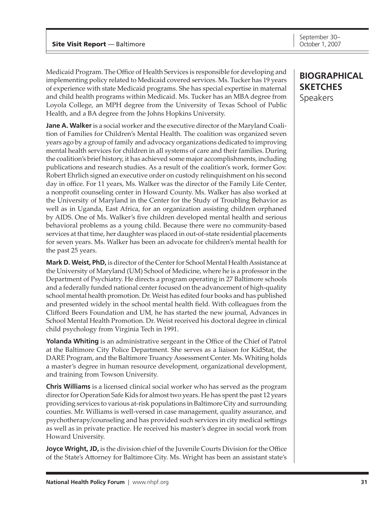**Joyce Wright, JD,** is the division chief of the Juvenile Courts Division for the Office of the State's Attorney for Baltimore City. Ms. Wright has been an assistant state's

Medicaid Program. The Office of Health Services is responsible for developing and implementing policy related to Medicaid covered services. Ms. Tucker has 19 years of experience with state Medicaid programs. She has special expertise in maternal and child health programs within Medicaid. Ms. Tucker has an MBA degree from Loyola College, an MPH degree from the University of Texas School of Public Health, and a BA degree from the Johns Hopkins University.

**Jane A. Walker** is a social worker and the executive director of the Maryland Coalition of Families for Children's Mental Health. The coalition was organized seven years ago by a group of family and advocacy organizations dedicated to improving mental health services for children in all systems of care and their families. During the coalition's brief history, it has achieved some major accomplishments, including publications and research studies. As a result of the coalition's work, former Gov. Robert Ehrlich signed an executive order on custody relinquishment on his second day in office. For 11 years, Ms. Walker was the director of the Family Life Center, a nonprofit counseling center in Howard County. Ms. Walker has also worked at the University of Maryland in the Center for the Study of Troubling Behavior as well as in Uganda, East Africa, for an organization assisting children orphaned by AIDS. One of Ms. Walker's five children developed mental health and serious behavioral problems as a young child. Because there were no community-based services at that time, her daughter was placed in out-of-state residential placements for seven years. Ms. Walker has been an advocate for children's mental health for the past 25 years.

**Mark D. Weist, PhD,** is director of the Center for School Mental Health Assistance at the University of Maryland (UM) School of Medicine, where he is a professor in the Department of Psychiatry. He directs a program operating in 27 Baltimore schools and a federally funded national center focused on the advancement of high-quality school mental health promotion. Dr. Weist has edited four books and has published and presented widely in the school mental health field. With colleagues from the Clifford Beers Foundation and UM, he has started the new journal, Advances in School Mental Health Promotion. Dr. Weist received his doctoral degree in clinical child psychology from Virginia Tech in 1991.

**Yolanda Whiting** is an administrative sergeant in the Office of the Chief of Patrol at the Baltimore City Police Department. She serves as a liaison for KidStat, the DARE Program, and the Baltimore Truancy Assessment Center. Ms. Whiting holds a master's degree in human resource development, organizational development, and training from Towson University.

**Chris Williams** is a licensed clinical social worker who has served as the program director for Operation Safe Kids for almost two years. He has spent the past 12 years providing services to various at-risk populations in Baltimore City and surrounding counties. Mr. Williams is well-versed in case management, quality assurance, and psychotherapy/counseling and has provided such services in city medical settings as well as in private practice. He received his master's degree in social work from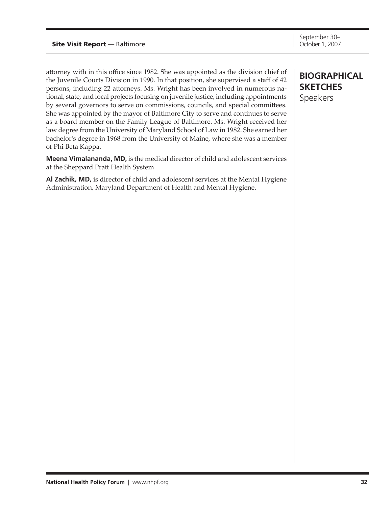#### **Site Visit Report** — Baltimore

attorney with in this office since 1982. She was appointed as the division chief of the Juvenile Courts Division in 1990. In that position, she supervised a staff of 42 persons, including 22 attorneys. Ms. Wright has been involved in numerous national, state, and local projects focusing on juvenile justice, including appointments by several governors to serve on commissions, councils, and special committees. She was appointed by the mayor of Baltimore City to serve and continues to serve as a board member on the Family League of Baltimore. Ms. Wright received her law degree from the University of Maryland School of Law in 1982. She earned her bachelor's degree in 1968 from the University of Maine, where she was a member of Phi Beta Kappa.

**Meena Vimalananda, MD,** is the medical director of child and adolescent services at the Sheppard Pratt Health System.

**Al Zachik, MD,** is director of child and adolescent services at the Mental Hygiene Administration, Maryland Department of Health and Mental Hygiene.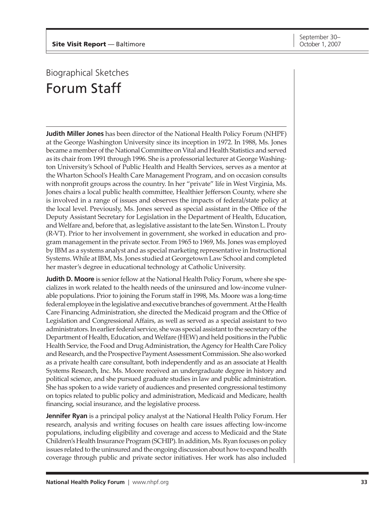## <span id="page-31-0"></span>Biographical Sketches Forum Staff

**Judith Miller Jones** has been director of the National Health Policy Forum (NHPF) at the George Washington University since its inception in 1972. In 1988, Ms. Jones became a member of the National Committee on Vital and Health Statistics and served as its chair from 1991 through 1996. She is a professorial lecturer at George Washington University's School of Public Health and Health Services, serves as a mentor at the Wharton School's Health Care Management Program, and on occasion consults with nonprofit groups across the country. In her "private" life in West Virginia, Ms. Jones chairs a local public health committee, Healthier Jefferson County, where she is involved in a range of issues and observes the impacts of federal/state policy at the local level. Previously, Ms. Jones served as special assistant in the Office of the Deputy Assistant Secretary for Legislation in the Department of Health, Education, and Welfare and, before that, as legislative assistant to the late Sen. Winston L. Prouty (R-VT). Prior to her involvement in government, she worked in education and program management in the private sector. From 1965 to 1969, Ms. Jones was employed by IBM as a systems analyst and as special marketing representative in Instructional Systems. While at IBM, Ms. Jones studied at Georgetown Law School and completed her master's degree in educational technology at Catholic University.

**Judith D. Moore** is senior fellow at the National Health Policy Forum, where she specializes in work related to the health needs of the uninsured and low-income vulnerable populations. Prior to joining the Forum staff in 1998, Ms. Moore was a long-time federal employee in the legislative and executive branches of government. At the Health Care Financing Administration, she directed the Medicaid program and the Office of Legislation and Congressional Affairs, as well as served as a special assistant to two administrators. In earlier federal service, she was special assistant to the secretary of the Department of Health, Education, and Welfare (HEW) and held positions in the Public Health Service, the Food and Drug Administration, the Agency for Health Care Policy and Research, and the Prospective Payment Assessment Commission. She also worked as a private health care consultant, both independently and as an associate at Health Systems Research, Inc. Ms. Moore received an undergraduate degree in history and political science, and she pursued graduate studies in law and public administration. She has spoken to a wide variety of audiences and presented congressional testimony on topics related to public policy and administration, Medicaid and Medicare, health financing, social insurance, and the legislative process.

**Jennifer Ryan** is a principal policy analyst at the National Health Policy Forum. Her research, analysis and writing focuses on health care issues affecting low-income populations, including eligibility and coverage and access to Medicaid and the State Children's Health Insurance Program (SCHIP). In addition, Ms. Ryan focuses on policy issues related to the uninsured and the ongoing discussion about how to expand health coverage through public and private sector initiatives. Her work has also included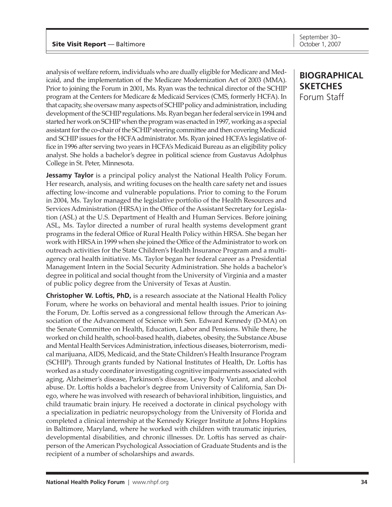analysis of welfare reform, individuals who are dually eligible for Medicare and Medicaid, and the implementation of the Medicare Modernization Act of 2003 (MMA). Prior to joining the Forum in 2001, Ms. Ryan was the technical director of the SCHIP program at the Centers for Medicare & Medicaid Services (CMS, formerly HCFA). In that capacity, she oversaw many aspects of SCHIP policy and administration, including development of the SCHIP regulations. Ms. Ryan began her federal service in 1994 and started her work on SCHIP when the program was enacted in 1997, working as a special assistant for the co-chair of the SCHIP steering committee and then covering Medicaid and SCHIP issues for the HCFA administrator. Ms. Ryan joined HCFA's legislative office in 1996 after serving two years in HCFA's Medicaid Bureau as an eligibility policy analyst. She holds a bachelor's degree in political science from Gustavus Adolphus College in St. Peter, Minnesota.

**Jessamy Taylor** is a principal policy analyst the National Health Policy Forum. Her research, analysis, and writing focuses on the health care safety net and issues affecting low-income and vulnerable populations. Prior to coming to the Forum in 2004, Ms. Taylor managed the legislative portfolio of the Health Resources and Services Administration (HRSA) in the Office of the Assistant Secretary for Legislation (ASL) at the U.S. Department of Health and Human Services. Before joining ASL, Ms. Taylor directed a number of rural health systems development grant programs in the federal Office of Rural Health Policy within HRSA. She began her work with HRSA in 1999 when she joined the Office of the Administrator to work on outreach activities for the State Children's Health Insurance Program and a multiagency oral health initiative. Ms. Taylor began her federal career as a Presidential Management Intern in the Social Security Administration. She holds a bachelor's degree in political and social thought from the University of Virginia and a master of public policy degree from the University of Texas at Austin.

**Christopher W. Loftis, PhD,** is a research associate at the National Health Policy Forum, where he works on behavioral and mental health issues. Prior to joining the Forum, Dr. Loftis served as a congressional fellow through the American Association of the Advancement of Science with Sen. Edward Kennedy (D-MA) on the Senate Committee on Health, Education, Labor and Pensions. While there, he worked on child health, school-based health, diabetes, obesity, the Substance Abuse and Mental Health Services Administration, infectious diseases, bioterrorism, medical marijuana, AIDS, Medicaid, and the State Children's Health Insurance Program (SCHIP). Through grants funded by National Institutes of Health, Dr. Loftis has worked as a study coordinator investigating cognitive impairments associated with aging, Alzheimer's disease, Parkinson's disease, Lewy Body Variant, and alcohol abuse. Dr. Loftis holds a bachelor's degree from University of California, San Diego, where he was involved with research of behavioral inhibition, linguistics, and child traumatic brain injury. He received a doctorate in clinical psychology with a specialization in pediatric neuropsychology from the University of Florida and completed a clinical internship at the Kennedy Krieger Institute at Johns Hopkins in Baltimore, Maryland, where he worked with children with traumatic injuries, developmental disabilities, and chronic illnesses. Dr. Loftis has served as chairperson of the American Psychological Association of Graduate Students and is the recipient of a number of scholarships and awards.

### **biographical sketches** Forum Staff